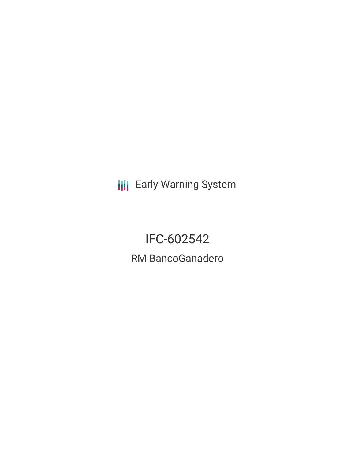**III** Early Warning System

IFC-602542 RM BancoGanadero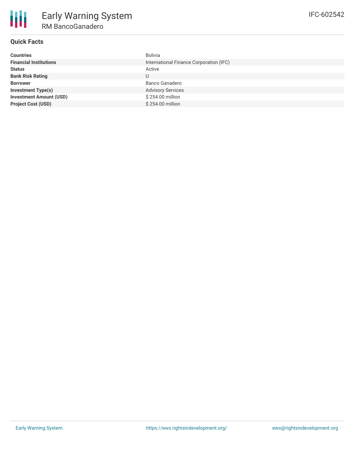

# **Quick Facts**

| <b>Countries</b>               | Bolivia                                 |
|--------------------------------|-----------------------------------------|
| <b>Financial Institutions</b>  | International Finance Corporation (IFC) |
| <b>Status</b>                  | Active                                  |
| <b>Bank Risk Rating</b>        | U                                       |
| <b>Borrower</b>                | Banco Ganadero                          |
| <b>Investment Type(s)</b>      | <b>Advisory Services</b>                |
| <b>Investment Amount (USD)</b> | \$254.00 million                        |
| <b>Project Cost (USD)</b>      | \$254.00 million                        |
|                                |                                         |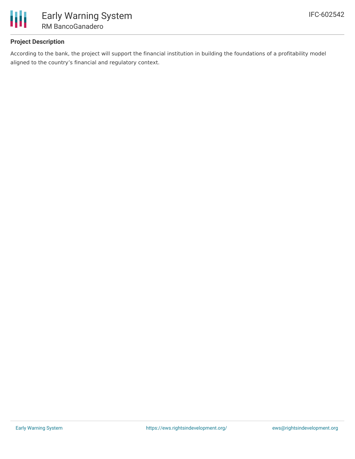

# **Project Description**

According to the bank, the project will support the financial institution in building the foundations of a profitability model aligned to the country's financial and regulatory context.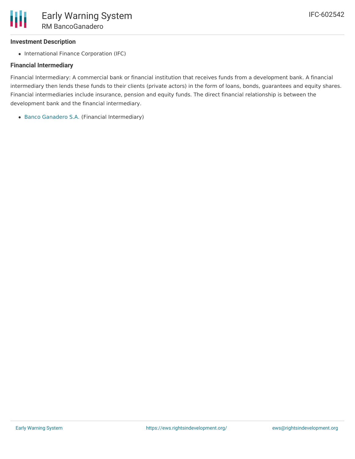### **Investment Description**

• International Finance Corporation (IFC)

### **Financial Intermediary**

Financial Intermediary: A commercial bank or financial institution that receives funds from a development bank. A financial intermediary then lends these funds to their clients (private actors) in the form of loans, bonds, guarantees and equity shares. Financial intermediaries include insurance, pension and equity funds. The direct financial relationship is between the development bank and the financial intermediary.

Banco [Ganadero](file:///actor/1007/) S.A. (Financial Intermediary)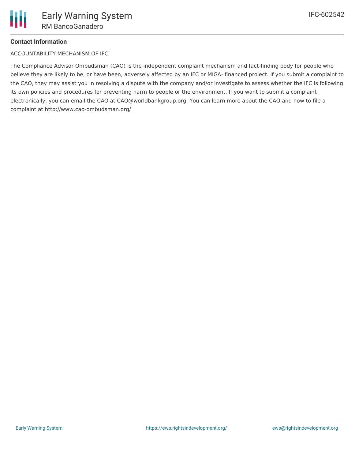# **Contact Information**

ACCOUNTABILITY MECHANISM OF IFC

The Compliance Advisor Ombudsman (CAO) is the independent complaint mechanism and fact-finding body for people who believe they are likely to be, or have been, adversely affected by an IFC or MIGA- financed project. If you submit a complaint to the CAO, they may assist you in resolving a dispute with the company and/or investigate to assess whether the IFC is following its own policies and procedures for preventing harm to people or the environment. If you want to submit a complaint electronically, you can email the CAO at CAO@worldbankgroup.org. You can learn more about the CAO and how to file a complaint at http://www.cao-ombudsman.org/